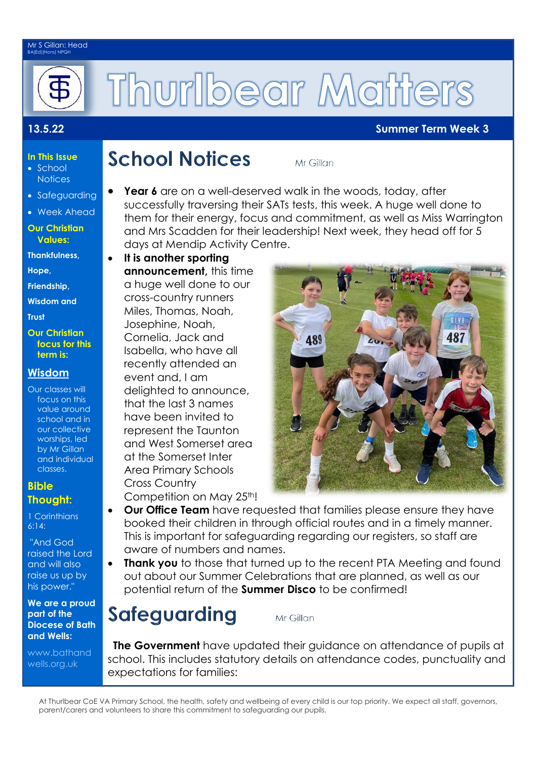#### Mr S Gillan: Head BA(Ed)(Hons) NPQH



# **Thurlbear Matters**

### **13.5.22 Summer Term Week 3**

#### **In This Issue** • School

- **Notices**
- Safeguarding
- Week Ahead

#### **Our Christian Values:**

**Thankfulness,** 

**Hope,** 

**Friendship,**

**Wisdom and** 

**Trust** 

#### **Our Christian focus for this term is:**

## **Wisdom**

Our classes will focus on this value around school and in our collective worships, led by Mr Gillan and individual classes.

### **Bible Thought:**

1 Corinthians 6:14:

"And God raised the Lord and will also raise us up by his power."

#### **We are a proud part of the Diocese of Bath and Wells:**

[www.bathand](http://www.bathandwells.org.uk/) [wells.org.uk](http://www.bathandwells.org.uk/)

## **School Notices**

Mr Gillan

- **Year 6** are on a well-deserved walk in the woods, today, after successfully traversing their SATs tests, this week. A huge well done to them for their energy, focus and commitment, as well as Miss Warrington and Mrs Scadden for their leadership! Next week, they head off for 5 days at Mendip Activity Centre.
- **It is another sporting announcement,** this time a huge well done to our cross-country runners Miles, Thomas, Noah, Josephine, Noah, Cornelia, Jack and Isabella, who have all recently attended an event and, I am delighted to announce, that the last 3 names have been invited to represent the Taunton and West Somerset area at the Somerset Inter Area Primary Schools Cross Country Competition on May 25th!



- **Our Office Team** have requested that families please ensure they have booked their children in through official routes and in a timely manner. This is important for safeguarding regarding our registers, so staff are aware of numbers and names.
- **Thank you** to those that turned up to the recent PTA Meeting and found out about our Summer Celebrations that are planned, as well as our potential return of the **Summer Disco** to be confirmed!

# Safeguarding

Mr Gillan

 **The Government** have updated their guidance on attendance of pupils at school. This includes statutory details on attendance codes, punctuality and expectations for families:

At Thurlbear CoE VA Primary School, the health, safety and wellbeing of every child is our top priority. We expect all staff, governors, parent/carers and volunteers to share this commitment to safeguarding our pupils.